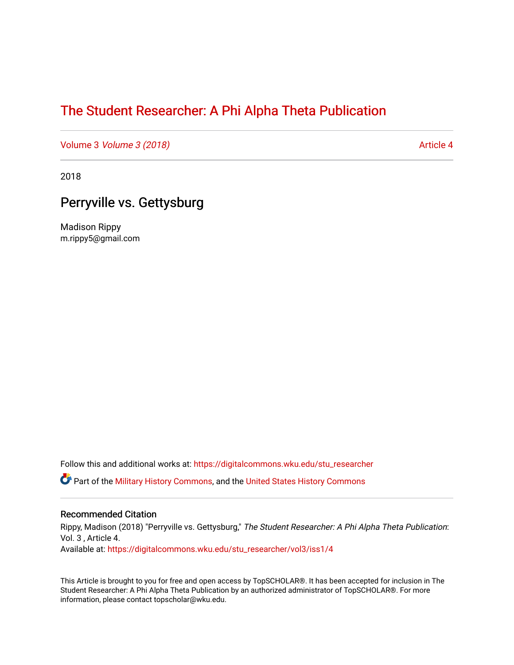# [The Student Researcher: A Phi Alpha Theta Publication](https://digitalcommons.wku.edu/stu_researcher)

Volume 3 *Volume 3 (2018)* Article 4

2018

# Perryville vs. Gettysburg

Madison Rippy m.rippy5@gmail.com

Follow this and additional works at: [https://digitalcommons.wku.edu/stu\\_researcher](https://digitalcommons.wku.edu/stu_researcher?utm_source=digitalcommons.wku.edu%2Fstu_researcher%2Fvol3%2Fiss1%2F4&utm_medium=PDF&utm_campaign=PDFCoverPages) 

**C** Part of the [Military History Commons](http://network.bepress.com/hgg/discipline/504?utm_source=digitalcommons.wku.edu%2Fstu_researcher%2Fvol3%2Fiss1%2F4&utm_medium=PDF&utm_campaign=PDFCoverPages), and the [United States History Commons](http://network.bepress.com/hgg/discipline/495?utm_source=digitalcommons.wku.edu%2Fstu_researcher%2Fvol3%2Fiss1%2F4&utm_medium=PDF&utm_campaign=PDFCoverPages)

### Recommended Citation

Rippy, Madison (2018) "Perryville vs. Gettysburg," The Student Researcher: A Phi Alpha Theta Publication: Vol. 3 , Article 4. Available at: [https://digitalcommons.wku.edu/stu\\_researcher/vol3/iss1/4](https://digitalcommons.wku.edu/stu_researcher/vol3/iss1/4?utm_source=digitalcommons.wku.edu%2Fstu_researcher%2Fvol3%2Fiss1%2F4&utm_medium=PDF&utm_campaign=PDFCoverPages)

This Article is brought to you for free and open access by TopSCHOLAR®. It has been accepted for inclusion in The Student Researcher: A Phi Alpha Theta Publication by an authorized administrator of TopSCHOLAR®. For more information, please contact topscholar@wku.edu.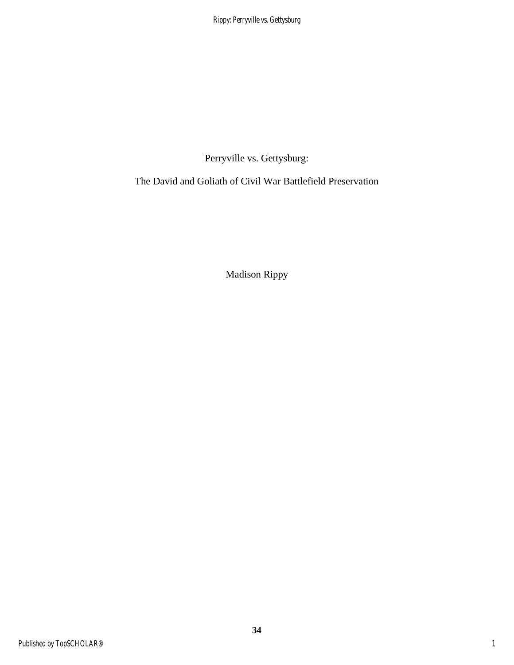Perryville vs. Gettysburg:

The David and Goliath of Civil War Battlefield Preservation

Madison Rippy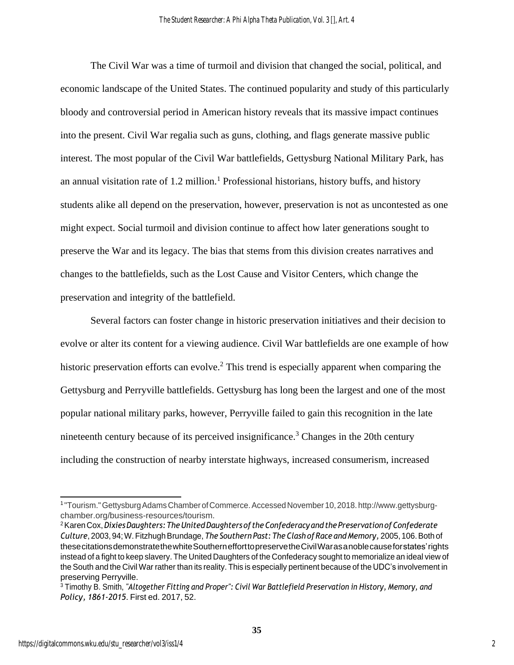The Civil War was a time of turmoil and division that changed the social, political, and economic landscape of the United States. The continued popularity and study of this particularly bloody and controversial period in American history reveals that its massive impact continues into the present. Civil War regalia such as guns, clothing, and flags generate massive public interest. The most popular of the Civil War battlefields, Gettysburg National Military Park, has an annual visitation rate of  $1.2$  million.<sup>1</sup> Professional historians, history buffs, and history students alike all depend on the preservation, however, preservation is not as uncontested as one might expect. Social turmoil and division continue to affect how later generations sought to preserve the War and its legacy. The bias that stems from this division creates narratives and changes to the battlefields, such as the Lost Cause and Visitor Centers, which change the preservation and integrity of the battlefield.

Several factors can foster change in historic preservation initiatives and their decision to evolve or alter its content for a viewing audience. Civil War battlefields are one example of how historic preservation efforts can evolve.<sup>2</sup> This trend is especially apparent when comparing the Gettysburg and Perryville battlefields. Gettysburg has long been the largest and one of the most popular national military parks, however, Perryville failed to gain this recognition in the late nineteenth century because of its perceived insignificance.<sup>3</sup> Changes in the 20th century including the construction of nearby interstate highways, increased consumerism, increased

<sup>1</sup> "Tourism."GettysburgAdamsChamberofCommerce.AccessedNovember 10,2018.http://www.gettysburgchamber.org/business-resources/tourism.

<sup>2</sup>KarenCox,*DixiesDaughters:TheUnitedDaughtersof theConfederacy andthePreservation ofConfederate Culture*, 2003, 94;W.FitzhughBrundage, *The Southern Past: The Clash ofRace andMemory,* 2005, 106.Both of thesecitationsdemonstratethewhiteSouthernefforttopreservetheCivilWarasanoblecauseforstates'rights instead of a fight to keep slavery. The United Daughters of the Confederacy sought to memorialize an ideal view of the South and the Civil War rather than its reality. This is especially pertinent because of the UDC's involvement in preserving Perryville.

<sup>3</sup> Timothy B. Smith, *"Altogether Fitting and Proper": Civil War Battlefield Preservation in History, Memory, and Policy, 1861-2015*. First ed. 2017, 52.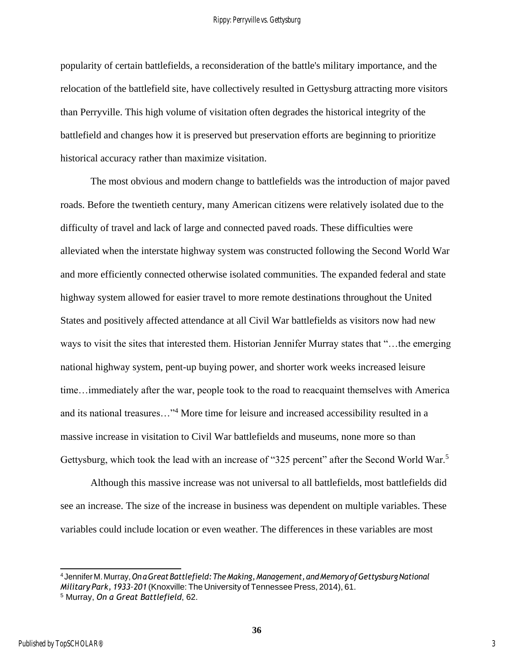popularity of certain battlefields, a reconsideration of the battle's military importance, and the relocation of the battlefield site, have collectively resulted in Gettysburg attracting more visitors than Perryville. This high volume of visitation often degrades the historical integrity of the battlefield and changes how it is preserved but preservation efforts are beginning to prioritize historical accuracy rather than maximize visitation.

The most obvious and modern change to battlefields was the introduction of major paved roads. Before the twentieth century, many American citizens were relatively isolated due to the difficulty of travel and lack of large and connected paved roads. These difficulties were alleviated when the interstate highway system was constructed following the Second World War and more efficiently connected otherwise isolated communities. The expanded federal and state highway system allowed for easier travel to more remote destinations throughout the United States and positively affected attendance at all Civil War battlefields as visitors now had new ways to visit the sites that interested them. Historian Jennifer Murray states that "…the emerging national highway system, pent-up buying power, and shorter work weeks increased leisure time…immediately after the war, people took to the road to reacquaint themselves with America and its national treasures…"<sup>4</sup> More time for leisure and increased accessibility resulted in a massive increase in visitation to Civil War battlefields and museums, none more so than Gettysburg, which took the lead with an increase of "325 percent" after the Second World War.<sup>5</sup>

Although this massive increase was not universal to all battlefields, most battlefields did see an increase. The size of the increase in business was dependent on multiple variables. These variables could include location or even weather. The differences in these variables are most

<sup>4</sup> Jennifer M. Murray,*OnaGreatBattlefield:TheMaking,Management, andMemory ofGettysburgNational Military Park, 1933–201* (Knoxville: The University of Tennessee Press, 2014), 61. <sup>5</sup> Murray, *On a Great Battlefield*, 62.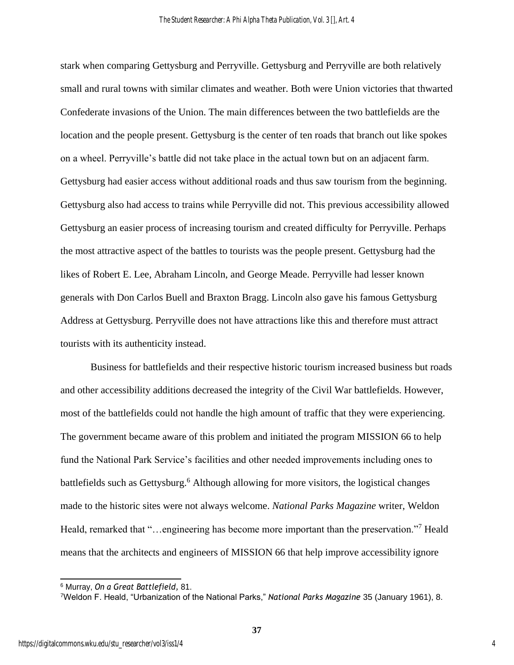stark when comparing Gettysburg and Perryville. Gettysburg and Perryville are both relatively small and rural towns with similar climates and weather. Both were Union victories that thwarted Confederate invasions of the Union. The main differences between the two battlefields are the location and the people present. Gettysburg is the center of ten roads that branch out like spokes on a wheel. Perryville's battle did not take place in the actual town but on an adjacent farm. Gettysburg had easier access without additional roads and thus saw tourism from the beginning. Gettysburg also had access to trains while Perryville did not. This previous accessibility allowed Gettysburg an easier process of increasing tourism and created difficulty for Perryville. Perhaps the most attractive aspect of the battles to tourists was the people present. Gettysburg had the likes of Robert E. Lee, Abraham Lincoln, and George Meade. Perryville had lesser known generals with Don Carlos Buell and Braxton Bragg. Lincoln also gave his famous Gettysburg Address at Gettysburg. Perryville does not have attractions like this and therefore must attract tourists with its authenticity instead.

Business for battlefields and their respective historic tourism increased business but roads and other accessibility additions decreased the integrity of the Civil War battlefields. However, most of the battlefields could not handle the high amount of traffic that they were experiencing. The government became aware of this problem and initiated the program MISSION 66 to help fund the National Park Service's facilities and other needed improvements including ones to battlefields such as Gettysburg.<sup>6</sup> Although allowing for more visitors, the logistical changes made to the historic sites were not always welcome. *National Parks Magazine* writer, Weldon Heald, remarked that "…engineering has become more important than the preservation."<sup>7</sup> Heald means that the architects and engineers of MISSION 66 that help improve accessibility ignore

4

<sup>6</sup> Murray, *On a Great Battlefield,* 81.

<sup>7</sup>Weldon F. Heald, "Urbanization of the National Parks," *National Parks Magazine* 35 (January 1961), 8.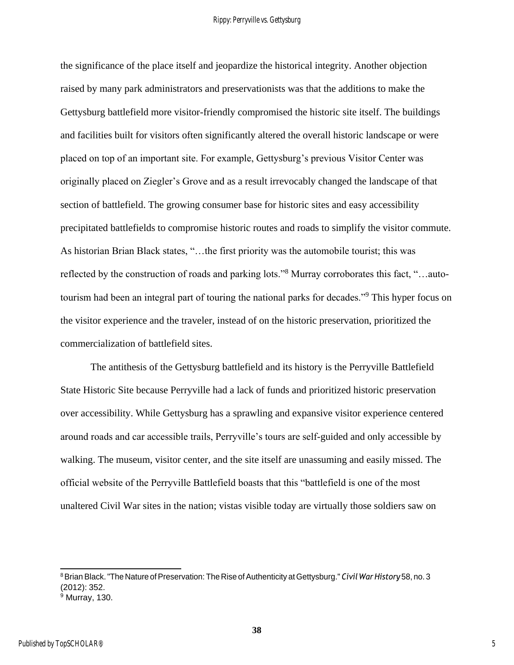the significance of the place itself and jeopardize the historical integrity. Another objection raised by many park administrators and preservationists was that the additions to make the Gettysburg battlefield more visitor-friendly compromised the historic site itself. The buildings and facilities built for visitors often significantly altered the overall historic landscape or were placed on top of an important site. For example, Gettysburg's previous Visitor Center was originally placed on Ziegler's Grove and as a result irrevocably changed the landscape of that section of battlefield. The growing consumer base for historic sites and easy accessibility precipitated battlefields to compromise historic routes and roads to simplify the visitor commute. As historian Brian Black states, "…the first priority was the automobile tourist; this was reflected by the construction of roads and parking lots."<sup>8</sup> Murray corroborates this fact, "…autotourism had been an integral part of touring the national parks for decades."<sup>9</sup> This hyper focus on the visitor experience and the traveler, instead of on the historic preservation, prioritized the commercialization of battlefield sites.

The antithesis of the Gettysburg battlefield and its history is the Perryville Battlefield State Historic Site because Perryville had a lack of funds and prioritized historic preservation over accessibility. While Gettysburg has a sprawling and expansive visitor experience centered around roads and car accessible trails, Perryville's tours are self-guided and only accessible by walking. The museum, visitor center, and the site itself are unassuming and easily missed. The official website of the Perryville Battlefield boasts that this "battlefield is one of the most unaltered Civil War sites in the nation; vistas visible today are virtually those soldiers saw on

<sup>8</sup>Brian Black."The Nature ofPreservation: The Rise ofAuthenticity at Gettysburg." *Civil WarHistory* 58, no. 3 (2012): 352.

<sup>9</sup> Murray, 130.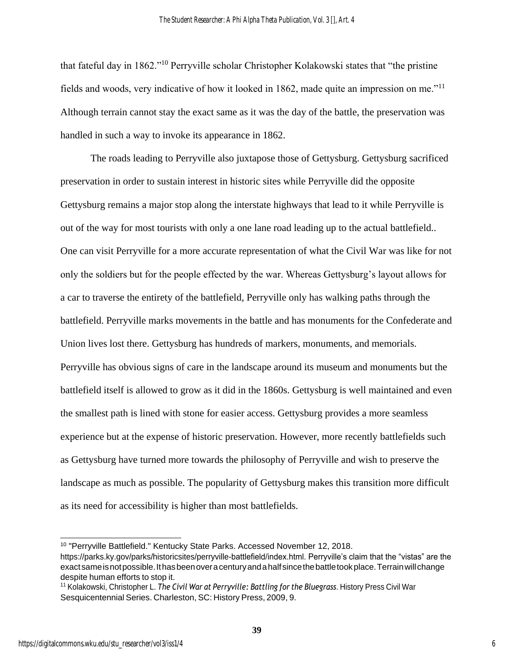that fateful day in 1862."<sup>10</sup> Perryville scholar Christopher Kolakowski states that "the pristine fields and woods, very indicative of how it looked in 1862, made quite an impression on me."<sup>11</sup> Although terrain cannot stay the exact same as it was the day of the battle, the preservation was handled in such a way to invoke its appearance in 1862.

The roads leading to Perryville also juxtapose those of Gettysburg. Gettysburg sacrificed preservation in order to sustain interest in historic sites while Perryville did the opposite Gettysburg remains a major stop along the interstate highways that lead to it while Perryville is out of the way for most tourists with only a one lane road leading up to the actual battlefield.. One can visit Perryville for a more accurate representation of what the Civil War was like for not only the soldiers but for the people effected by the war. Whereas Gettysburg's layout allows for a car to traverse the entirety of the battlefield, Perryville only has walking paths through the battlefield. Perryville marks movements in the battle and has monuments for the Confederate and Union lives lost there. Gettysburg has hundreds of markers, monuments, and memorials. Perryville has obvious signs of care in the landscape around its museum and monuments but the battlefield itself is allowed to grow as it did in the 1860s. Gettysburg is well maintained and even the smallest path is lined with stone for easier access. Gettysburg provides a more seamless experience but at the expense of historic preservation. However, more recently battlefields such as Gettysburg have turned more towards the philosophy of Perryville and wish to preserve the landscape as much as possible. The popularity of Gettysburg makes this transition more difficult as its need for accessibility is higher than most battlefields.

<sup>10</sup> "Perryville Battlefield." Kentucky State Parks. Accessed November 12, 2018.

https://parks.ky.gov/parks/historicsites/perryville-battlefield/index.html. Perryville's claim that the "vistas" are the exactsameisnotpossible.Ithasbeenoveracenturyandahalfsincethebattletookplace.Terrainwillchange despite human efforts to stop it.

<sup>11</sup> Kolakowski, Christopher L. *The Civil War at Perryville: Battling for the Bluegrass*. History Press Civil War Sesquicentennial Series. Charleston, SC: History Press, 2009, 9.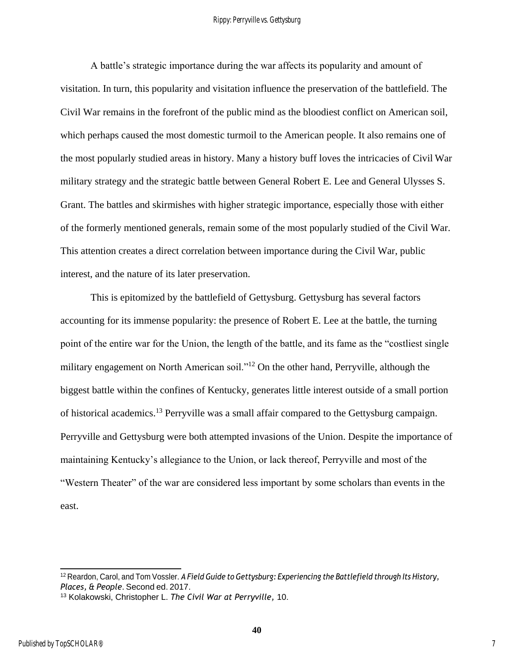A battle's strategic importance during the war affects its popularity and amount of visitation. In turn, this popularity and visitation influence the preservation of the battlefield. The Civil War remains in the forefront of the public mind as the bloodiest conflict on American soil, which perhaps caused the most domestic turmoil to the American people. It also remains one of the most popularly studied areas in history. Many a history buff loves the intricacies of Civil War military strategy and the strategic battle between General Robert E. Lee and General Ulysses S. Grant. The battles and skirmishes with higher strategic importance, especially those with either of the formerly mentioned generals, remain some of the most popularly studied of the Civil War. This attention creates a direct correlation between importance during the Civil War, public interest, and the nature of its later preservation.

This is epitomized by the battlefield of Gettysburg. Gettysburg has several factors accounting for its immense popularity: the presence of Robert E. Lee at the battle, the turning point of the entire war for the Union, the length of the battle, and its fame as the "costliest single military engagement on North American soil."<sup>12</sup> On the other hand, Perryville, although the biggest battle within the confines of Kentucky, generates little interest outside of a small portion of historical academics.<sup>13</sup> Perryville was a small affair compared to the Gettysburg campaign. Perryville and Gettysburg were both attempted invasions of the Union. Despite the importance of maintaining Kentucky's allegiance to the Union, or lack thereof, Perryville and most of the "Western Theater" of the war are considered less important by some scholars than events in the east.

<sup>12</sup> Reardon, Carol, and Tom Vossler. *A Field Guide to Gettysburg: Experiencing the Battlefield through Its History, Places, & People*. Second ed. 2017.

<sup>13</sup> Kolakowski, Christopher L. *The Civil War at Perryville,* 10.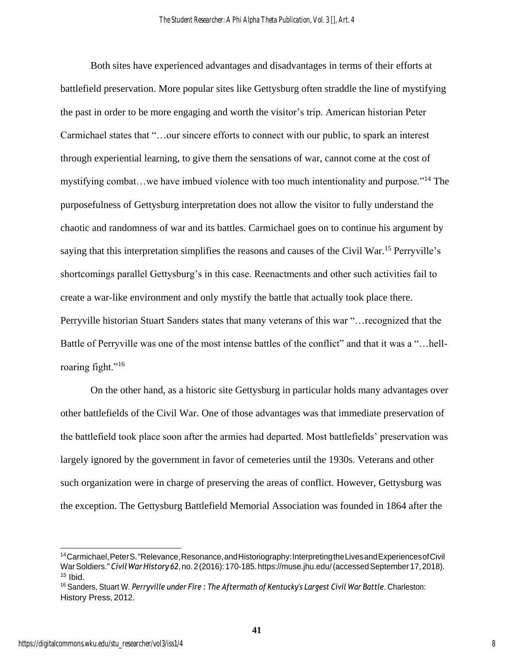Both sites have experienced advantages and disadvantages in terms of their efforts at battlefield preservation. More popular sites like Gettysburg often straddle the line of mystifying the past in order to be more engaging and worth the visitor's trip. American historian Peter Carmichael states that "…our sincere efforts to connect with our public, to spark an interest through experiential learning, to give them the sensations of war, cannot come at the cost of mystifying combat…we have imbued violence with too much intentionality and purpose."<sup>14</sup> The purposefulness of Gettysburg interpretation does not allow the visitor to fully understand the chaotic and randomness of war and its battles. Carmichael goes on to continue his argument by saying that this interpretation simplifies the reasons and causes of the Civil War.<sup>15</sup> Perryville's shortcomings parallel Gettysburg's in this case. Reenactments and other such activities fail to create a war-like environment and only mystify the battle that actually took place there. Perryville historian Stuart Sanders states that many veterans of this war "…recognized that the Battle of Perryville was one of the most intense battles of the conflict" and that it was a "…hellroaring fight."<sup>16</sup>

On the other hand, as a historic site Gettysburg in particular holds many advantages over other battlefields of the Civil War. One of those advantages was that immediate preservation of the battlefield took place soon after the armies had departed. Most battlefields' preservation was largely ignored by the government in favor of cemeteries until the 1930s. Veterans and other such organization were in charge of preserving the areas of conflict. However, Gettysburg was the exception. The Gettysburg Battlefield Memorial Association was founded in 1864 after the

<sup>&</sup>lt;sup>14</sup>Carmichael, Peter S. "Relevance, Resonance, and Historiography: Interpreting the Lives and Experiences of Civil WarSoldiers."*CivilWarHistory 62*,no.2(2016):170-185.https://muse.jhu.edu/(accessedSeptember17,2018).  $15$  Ibid.

<sup>16</sup> Sanders, Stuart W. *Perryville under Fire : The Aftermath of Kentucky's Largest Civil War Battle*. Charleston: History Press, 2012.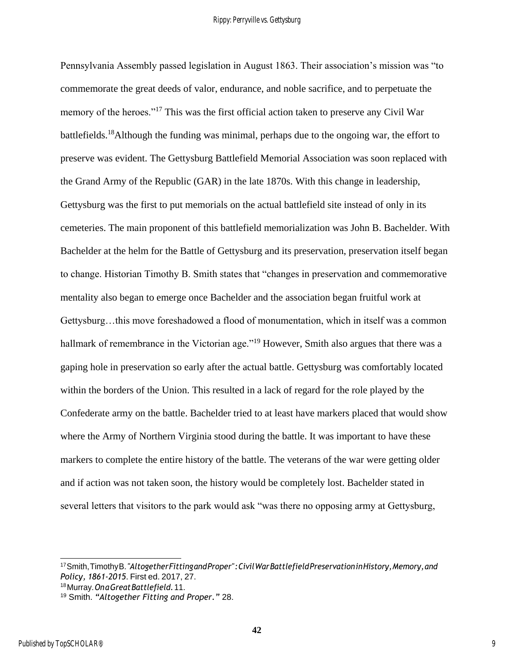Pennsylvania Assembly passed legislation in August 1863. Their association's mission was "to commemorate the great deeds of valor, endurance, and noble sacrifice, and to perpetuate the memory of the heroes."<sup>17</sup> This was the first official action taken to preserve any Civil War battlefields.<sup>18</sup>Although the funding was minimal, perhaps due to the ongoing war, the effort to preserve was evident. The Gettysburg Battlefield Memorial Association was soon replaced with the Grand Army of the Republic (GAR) in the late 1870s. With this change in leadership, Gettysburg was the first to put memorials on the actual battlefield site instead of only in its cemeteries. The main proponent of this battlefield memorialization was John B. Bachelder. With Bachelder at the helm for the Battle of Gettysburg and its preservation, preservation itself began to change. Historian Timothy B. Smith states that "changes in preservation and commemorative mentality also began to emerge once Bachelder and the association began fruitful work at Gettysburg…this move foreshadowed a flood of monumentation, which in itself was a common hallmark of remembrance in the Victorian age."<sup>19</sup> However, Smith also argues that there was a gaping hole in preservation so early after the actual battle. Gettysburg was comfortably located within the borders of the Union. This resulted in a lack of regard for the role played by the Confederate army on the battle. Bachelder tried to at least have markers placed that would show where the Army of Northern Virginia stood during the battle. It was important to have these markers to complete the entire history of the battle. The veterans of the war were getting older and if action was not taken soon, the history would be completely lost. Bachelder stated in several letters that visitors to the park would ask "was there no opposing army at Gettysburg,

<sup>18</sup>Murray.*OnaGreatBattlefield.*11.

<sup>17</sup>Smith,TimothyB.*"AltogetherFittingandProper":CivilWarBattlefieldPreservationinHistory,Memory,and Policy, 1861-2015*. First ed. 2017, 27.

<sup>19</sup> Smith. *"Altogether Fitting and Proper."* 28.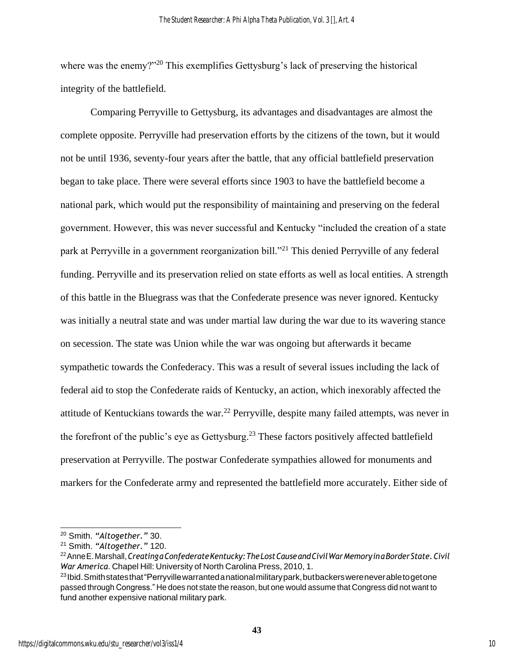where was the enemy?"<sup>20</sup> This exemplifies Gettysburg's lack of preserving the historical integrity of the battlefield.

Comparing Perryville to Gettysburg, its advantages and disadvantages are almost the complete opposite. Perryville had preservation efforts by the citizens of the town, but it would not be until 1936, seventy-four years after the battle, that any official battlefield preservation began to take place. There were several efforts since 1903 to have the battlefield become a national park, which would put the responsibility of maintaining and preserving on the federal government. However, this was never successful and Kentucky "included the creation of a state park at Perryville in a government reorganization bill."<sup>21</sup> This denied Perryville of any federal funding. Perryville and its preservation relied on state efforts as well as local entities. A strength of this battle in the Bluegrass was that the Confederate presence was never ignored. Kentucky was initially a neutral state and was under martial law during the war due to its wavering stance on secession. The state was Union while the war was ongoing but afterwards it became sympathetic towards the Confederacy. This was a result of several issues including the lack of federal aid to stop the Confederate raids of Kentucky, an action, which inexorably affected the attitude of Kentuckians towards the war.<sup>22</sup> Perryville, despite many failed attempts, was never in the forefront of the public's eye as Gettysburg.<sup>23</sup> These factors positively affected battlefield preservation at Perryville. The postwar Confederate sympathies allowed for monuments and markers for the Confederate army and represented the battlefield more accurately. Either side of

<sup>20</sup> Smith. *"Altogether."* 30.

<sup>21</sup> Smith. *"Altogether."* 120.

<sup>22</sup>AnneE.Marshall,*CreatingaConfederateKentucky:TheLostCauseandCivilWarMemoryinaBorderState.Civil War America*. Chapel Hill: University of North Carolina Press, 2010, 1.

<sup>&</sup>lt;sup>23</sup>Ibid. Smith states that "Perryville warranted anational military park, but backers were never able to get one passed through Congress." He does not state the reason, but one would assume that Congress did not want to fund another expensive national military park.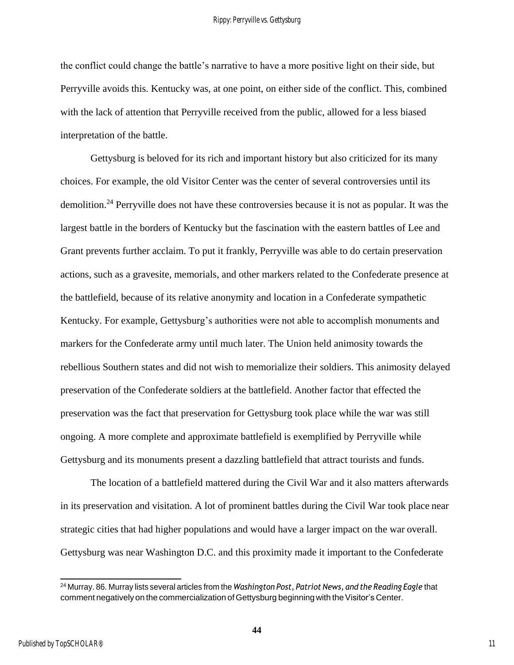the conflict could change the battle's narrative to have a more positive light on their side, but Perryville avoids this. Kentucky was, at one point, on either side of the conflict. This, combined with the lack of attention that Perryville received from the public, allowed for a less biased interpretation of the battle.

Gettysburg is beloved for its rich and important history but also criticized for its many choices. For example, the old Visitor Center was the center of several controversies until its demolition.<sup>24</sup> Perryville does not have these controversies because it is not as popular. It was the largest battle in the borders of Kentucky but the fascination with the eastern battles of Lee and Grant prevents further acclaim. To put it frankly, Perryville was able to do certain preservation actions, such as a gravesite, memorials, and other markers related to the Confederate presence at the battlefield, because of its relative anonymity and location in a Confederate sympathetic Kentucky. For example, Gettysburg's authorities were not able to accomplish monuments and markers for the Confederate army until much later. The Union held animosity towards the rebellious Southern states and did not wish to memorialize their soldiers. This animosity delayed preservation of the Confederate soldiers at the battlefield. Another factor that effected the preservation was the fact that preservation for Gettysburg took place while the war was still ongoing. A more complete and approximate battlefield is exemplified by Perryville while Gettysburg and its monuments present a dazzling battlefield that attract tourists and funds.

The location of a battlefield mattered during the Civil War and it also matters afterwards in its preservation and visitation. A lot of prominent battles during the Civil War took place near strategic cities that had higher populations and would have a larger impact on the war overall. Gettysburg was near Washington D.C. and this proximity made it important to the Confederate

<sup>24</sup> Murray. 86. Murray lists several articles from the *Washington Post, Patriot News, and the Reading Eagle* that comment negatively on the commercialization of Gettysburg beginning with the Visitor's Center.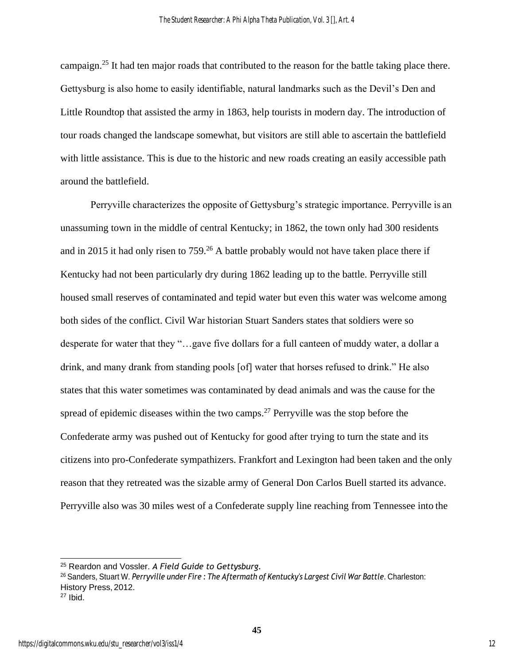campaign.<sup>25</sup> It had ten major roads that contributed to the reason for the battle taking place there. Gettysburg is also home to easily identifiable, natural landmarks such as the Devil's Den and Little Roundtop that assisted the army in 1863, help tourists in modern day. The introduction of tour roads changed the landscape somewhat, but visitors are still able to ascertain the battlefield with little assistance. This is due to the historic and new roads creating an easily accessible path around the battlefield.

Perryville characterizes the opposite of Gettysburg's strategic importance. Perryville is an unassuming town in the middle of central Kentucky; in 1862, the town only had 300 residents and in 2015 it had only risen to  $759<sup>26</sup>$  A battle probably would not have taken place there if Kentucky had not been particularly dry during 1862 leading up to the battle. Perryville still housed small reserves of contaminated and tepid water but even this water was welcome among both sides of the conflict. Civil War historian Stuart Sanders states that soldiers were so desperate for water that they "…gave five dollars for a full canteen of muddy water, a dollar a drink, and many drank from standing pools [of] water that horses refused to drink." He also states that this water sometimes was contaminated by dead animals and was the cause for the spread of epidemic diseases within the two camps.<sup>27</sup> Perryville was the stop before the Confederate army was pushed out of Kentucky for good after trying to turn the state and its citizens into pro-Confederate sympathizers. Frankfort and Lexington had been taken and the only reason that they retreated was the sizable army of General Don Carlos Buell started its advance. Perryville also was 30 miles west of a Confederate supply line reaching from Tennessee into the

<sup>25</sup> Reardon and Vossler. *A Field Guide to Gettysburg.*

<sup>26</sup> Sanders, Stuart W. *Perryville under Fire : The Aftermath of Kentucky's Largest Civil War Battle*. Charleston: History Press, 2012.

<sup>27</sup> Ibid.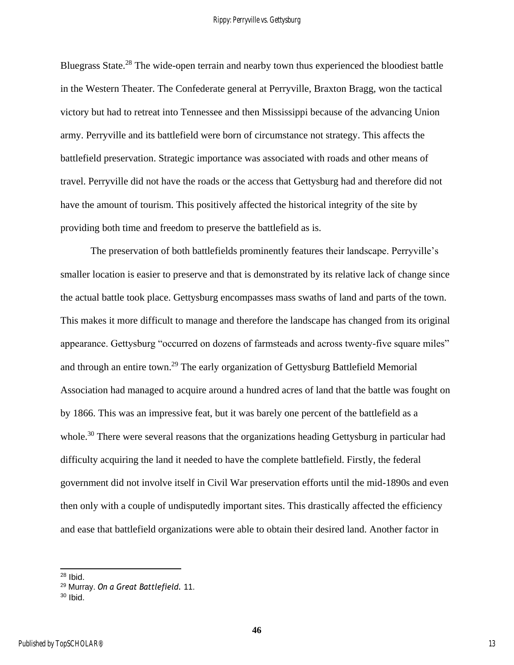Bluegrass State.<sup>28</sup> The wide-open terrain and nearby town thus experienced the bloodiest battle in the Western Theater. The Confederate general at Perryville, Braxton Bragg, won the tactical victory but had to retreat into Tennessee and then Mississippi because of the advancing Union army. Perryville and its battlefield were born of circumstance not strategy. This affects the battlefield preservation. Strategic importance was associated with roads and other means of travel. Perryville did not have the roads or the access that Gettysburg had and therefore did not have the amount of tourism. This positively affected the historical integrity of the site by providing both time and freedom to preserve the battlefield as is.

The preservation of both battlefields prominently features their landscape. Perryville's smaller location is easier to preserve and that is demonstrated by its relative lack of change since the actual battle took place. Gettysburg encompasses mass swaths of land and parts of the town. This makes it more difficult to manage and therefore the landscape has changed from its original appearance. Gettysburg "occurred on dozens of farmsteads and across twenty-five square miles" and through an entire town.<sup>29</sup> The early organization of Gettysburg Battlefield Memorial Association had managed to acquire around a hundred acres of land that the battle was fought on by 1866. This was an impressive feat, but it was barely one percent of the battlefield as a whole.<sup>30</sup> There were several reasons that the organizations heading Gettysburg in particular had difficulty acquiring the land it needed to have the complete battlefield. Firstly, the federal government did not involve itself in Civil War preservation efforts until the mid-1890s and even then only with a couple of undisputedly important sites. This drastically affected the efficiency and ease that battlefield organizations were able to obtain their desired land. Another factor in

 $28$  Ibid.

<sup>29</sup> Murray. *On a Great Battlefield.* 11.

 $30$  Ibid.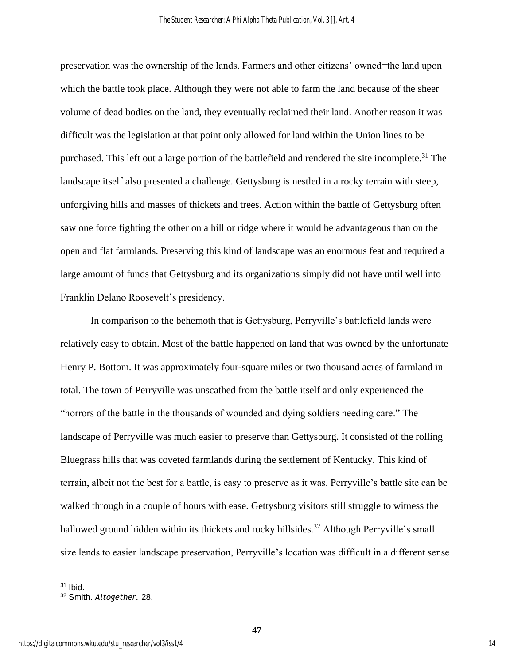preservation was the ownership of the lands. Farmers and other citizens' owned=the land upon which the battle took place. Although they were not able to farm the land because of the sheer volume of dead bodies on the land, they eventually reclaimed their land. Another reason it was difficult was the legislation at that point only allowed for land within the Union lines to be purchased. This left out a large portion of the battlefield and rendered the site incomplete.<sup>31</sup> The landscape itself also presented a challenge. Gettysburg is nestled in a rocky terrain with steep, unforgiving hills and masses of thickets and trees. Action within the battle of Gettysburg often saw one force fighting the other on a hill or ridge where it would be advantageous than on the open and flat farmlands. Preserving this kind of landscape was an enormous feat and required a large amount of funds that Gettysburg and its organizations simply did not have until well into Franklin Delano Roosevelt's presidency.

In comparison to the behemoth that is Gettysburg, Perryville's battlefield lands were relatively easy to obtain. Most of the battle happened on land that was owned by the unfortunate Henry P. Bottom. It was approximately four-square miles or two thousand acres of farmland in total. The town of Perryville was unscathed from the battle itself and only experienced the "horrors of the battle in the thousands of wounded and dying soldiers needing care." The landscape of Perryville was much easier to preserve than Gettysburg. It consisted of the rolling Bluegrass hills that was coveted farmlands during the settlement of Kentucky. This kind of terrain, albeit not the best for a battle, is easy to preserve as it was. Perryville's battle site can be walked through in a couple of hours with ease. Gettysburg visitors still struggle to witness the hallowed ground hidden within its thickets and rocky hillsides.<sup>32</sup> Although Perryville's small size lends to easier landscape preservation, Perryville's location was difficult in a different sense

 $31$  Ibid.

<sup>32</sup> Smith. *Altogether.* 28.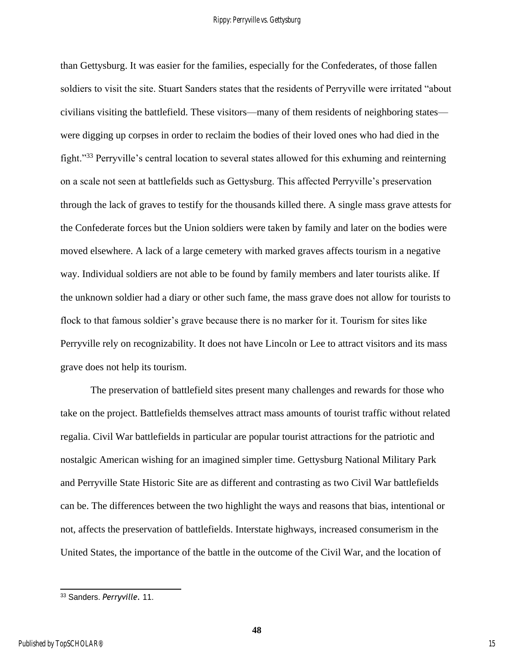than Gettysburg. It was easier for the families, especially for the Confederates, of those fallen soldiers to visit the site. Stuart Sanders states that the residents of Perryville were irritated "about civilians visiting the battlefield. These visitors—many of them residents of neighboring states were digging up corpses in order to reclaim the bodies of their loved ones who had died in the fight."<sup>33</sup> Perryville's central location to several states allowed for this exhuming and reinterning on a scale not seen at battlefields such as Gettysburg. This affected Perryville's preservation through the lack of graves to testify for the thousands killed there. A single mass grave attests for the Confederate forces but the Union soldiers were taken by family and later on the bodies were moved elsewhere. A lack of a large cemetery with marked graves affects tourism in a negative way. Individual soldiers are not able to be found by family members and later tourists alike. If the unknown soldier had a diary or other such fame, the mass grave does not allow for tourists to flock to that famous soldier's grave because there is no marker for it. Tourism for sites like Perryville rely on recognizability. It does not have Lincoln or Lee to attract visitors and its mass grave does not help its tourism.

The preservation of battlefield sites present many challenges and rewards for those who take on the project. Battlefields themselves attract mass amounts of tourist traffic without related regalia. Civil War battlefields in particular are popular tourist attractions for the patriotic and nostalgic American wishing for an imagined simpler time. Gettysburg National Military Park and Perryville State Historic Site are as different and contrasting as two Civil War battlefields can be. The differences between the two highlight the ways and reasons that bias, intentional or not, affects the preservation of battlefields. Interstate highways, increased consumerism in the United States, the importance of the battle in the outcome of the Civil War, and the location of

<sup>33</sup> Sanders. *Perryville.* 11.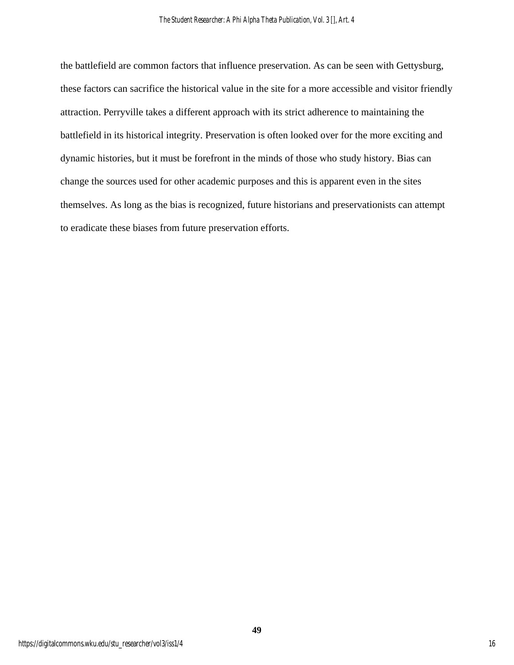the battlefield are common factors that influence preservation. As can be seen with Gettysburg, these factors can sacrifice the historical value in the site for a more accessible and visitor friendly attraction. Perryville takes a different approach with its strict adherence to maintaining the battlefield in its historical integrity. Preservation is often looked over for the more exciting and dynamic histories, but it must be forefront in the minds of those who study history. Bias can change the sources used for other academic purposes and this is apparent even in the sites themselves. As long as the bias is recognized, future historians and preservationists can attempt to eradicate these biases from future preservation efforts.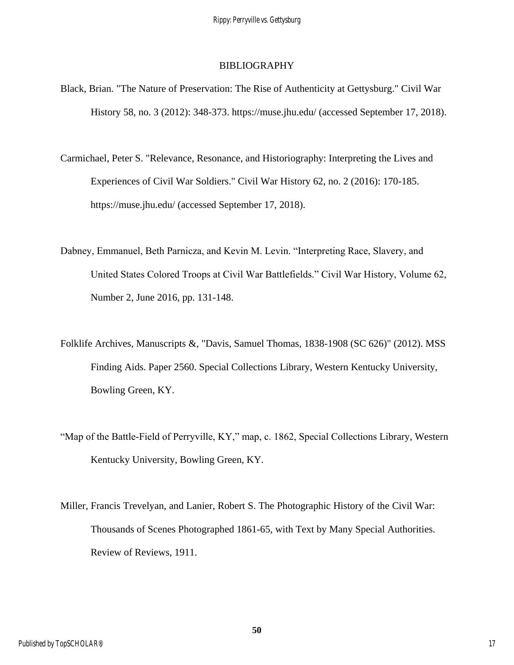### **BIBLIOGRAPHY**

- Black, Brian. "The Nature of Preservation: The Rise of Authenticity at Gettysburg." Civil War History 58, no. 3 (2012): 348-373. https://muse.jhu.edu/ (accessed September 17, 2018).
- Carmichael, Peter S. "Relevance, Resonance, and Historiography: Interpreting the Lives and Experiences of Civil War Soldiers." Civil War History 62, no. 2 (2016): 170-185. https://muse.jhu.edu/ (accessed September 17, 2018).
- Dabney, Emmanuel, Beth Parnicza, and Kevin M. Levin. "Interpreting Race, Slavery, and United States Colored Troops at Civil War Battlefields." Civil War History, Volume 62, Number 2, June 2016, pp. 131-148.
- Folklife Archives, Manuscripts &, "Davis, Samuel Thomas, 1838-1908 (SC 626)" (2012). MSS Finding Aids. Paper 2560. Special Collections Library, Western Kentucky University, Bowling Green, KY.
- "Map of the Battle-Field of Perryville, KY," map, c. 1862, Special Collections Library, Western Kentucky University, Bowling Green, KY.
- Miller, Francis Trevelyan, and Lanier, Robert S. The Photographic History of the Civil War: Thousands of Scenes Photographed 1861-65, with Text by Many Special Authorities. Review of Reviews, 1911.